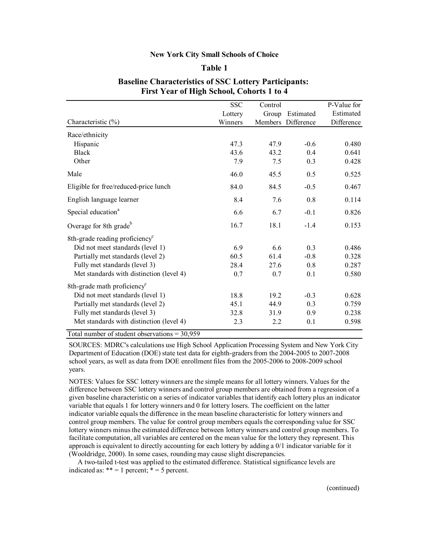## **New York City Small Schools of Choice**

## **Table 1**

|                                                       | <b>SSC</b> | Control |                    | P-Value for |
|-------------------------------------------------------|------------|---------|--------------------|-------------|
|                                                       | Lottery    | Group   | Estimated          | Estimated   |
| Characteristic $(\% )$                                | Winners    |         | Members Difference | Difference  |
| Race/ethnicity                                        |            |         |                    |             |
| Hispanic                                              | 47.3       | 47.9    | $-0.6$             | 0.480       |
| <b>Black</b>                                          | 43.6       | 43.2    | 0.4                | 0.641       |
| Other                                                 | 7.9        | 7.5     | 0.3                | 0.428       |
| Male                                                  | 46.0       | 45.5    | 0.5                | 0.525       |
| Eligible for free/reduced-price lunch                 | 84.0       | 84.5    | $-0.5$             | 0.467       |
| English language learner                              | 8.4        | 7.6     | 0.8                | 0.114       |
| Special education <sup>a</sup>                        | 6.6        | 6.7     | $-0.1$             | 0.826       |
| Overage for 8th grade <sup>b</sup>                    | 16.7       | 18.1    | $-1.4$             | 0.153       |
| 8th-grade reading proficiency <sup>c</sup>            |            |         |                    |             |
| Did not meet standards (level 1)                      | 6.9        | 6.6     | 0.3                | 0.486       |
| Partially met standards (level 2)                     | 60.5       | 61.4    | $-0.8$             | 0.328       |
| Fully met standards (level 3)                         | 28.4       | 27.6    | 0.8                | 0.287       |
| Met standards with distinction (level 4)              | 0.7        | 0.7     | 0.1                | 0.580       |
| 8th-grade math proficiency <sup>c</sup>               |            |         |                    |             |
| Did not meet standards (level 1)                      | 18.8       | 19.2    | $-0.3$             | 0.628       |
| Partially met standards (level 2)                     | 45.1       | 44.9    | 0.3                | 0.759       |
| Fully met standards (level 3)                         | 32.8       | 31.9    | 0.9                | 0.238       |
| Met standards with distinction (level 4)              | 2.3        | 2.2     | 0.1                | 0.598       |
| $Total number of students the computation s = 20.050$ |            |         |                    |             |

## **Baseline Characteristics of SSC Lottery Participants: First Year of High School, Cohorts 1 to 4**

Total number of student observations = 30,959

SOURCES: MDRC's calculations use High School Application Processing System and New York City Department of Education (DOE) state test data for eighth-graders from the 2004-2005 to 2007-2008 school years, as well as data from DOE enrollment files from the 2005-2006 to 2008-2009 school years.

NOTES: Values for SSC lottery winners are the simple means for all lottery winners. Values for the difference between SSC lottery winners and control group members are obtained from a regression of a given baseline characteristic on a series of indicator variables that identify each lottery plus an indicator variable that equals 1 for lottery winners and 0 for lottery losers. The coefficient on the latter indicator variable equals the difference in the mean baseline characteristic for lottery winners and control group members. The value for control group members equals the corresponding value for SSC lottery winners minus the estimated difference between lottery winners and control group members. To facilitate computation, all variables are centered on the mean value for the lottery they represent. This approach is equivalent to directly accounting for each lottery by adding a 0/1 indicator variable for it (Wooldridge, 2000). In some cases, rounding may cause slight discrepancies.

A two-tailed t-test was applied to the estimated difference. Statistical significance levels are indicated as:  $** = 1$  percent;  $* = 5$  percent.